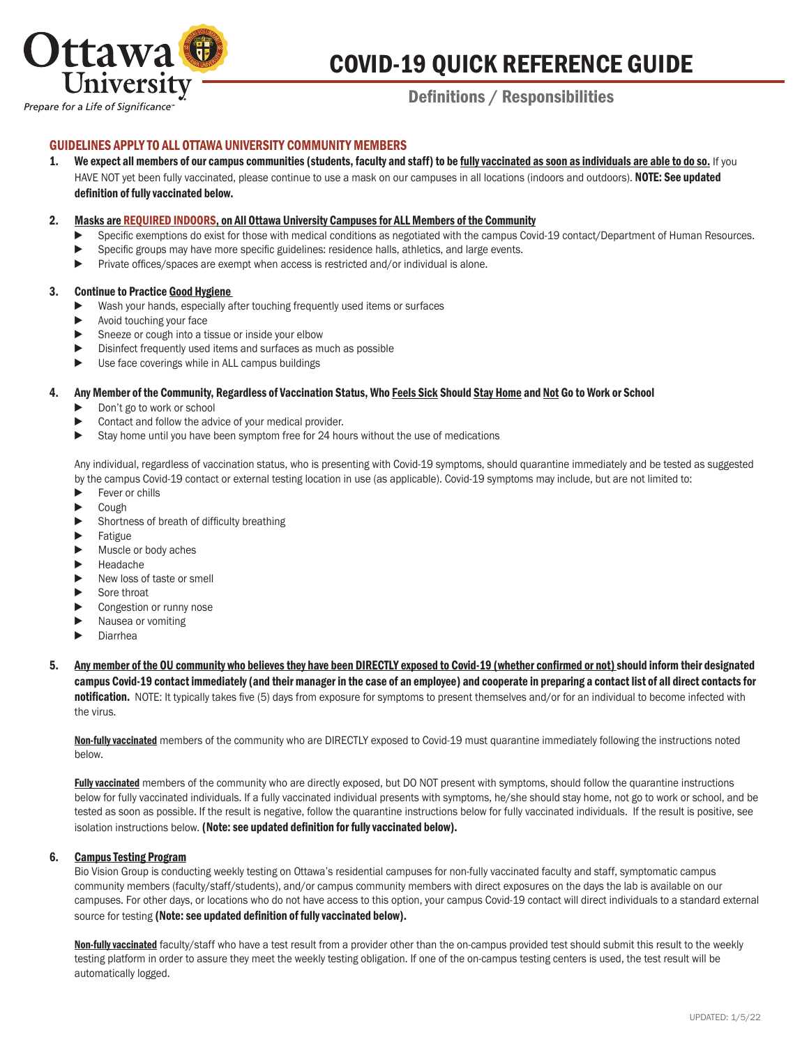

# COVID-19 QUICK REFERENCE GUIDE

# Definitions / Responsibilities

# GUIDELINES APPLY TO ALL OTTAWA UNIVERSITY COMMUNITY MEMBERS

1. We expect all members of our campus communities (students, faculty and staff) to be fully vaccinated as soon as individuals are able to do so. If you HAVE NOT yet been fully vaccinated, please continue to use a mask on our campuses in all locations (indoors and outdoors). NOTE: See updated definition of fully vaccinated below.

#### 2. Masks are REQUIRED INDOORS, on All Ottawa University Campuses for ALL Members of the Community

- Specific exemptions do exist for those with medical conditions as negotiated with the campus Covid-19 contact/Department of Human Resources.
- ► Specific groups may have more specific guidelines: residence halls, athletics, and large events.
- ► Private offices/spaces are exempt when access is restricted and/or individual is alone.

#### 3. Continue to Practice Good Hygiene

- Wash your hands, especially after touching frequently used items or surfaces
- ► Avoid touching your face
- ► Sneeze or cough into a tissue or inside your elbow
- ▶ Disinfect frequently used items and surfaces as much as possible
- ▶ Use face coverings while in ALL campus buildings

#### 4. Any Member of the Community, Regardless of Vaccination Status, Who Feels Sick Should Stay Home and Not Go to Work or School

- ► Don't go to work or school
- ▶ Contact and follow the advice of your medical provider.
- ► Stay home until you have been symptom free for 24 hours without the use of medications

 Any individual, regardless of vaccination status, who is presenting with Covid-19 symptoms, should quarantine immediately and be tested as suggested by the campus Covid-19 contact or external testing location in use (as applicable). Covid-19 symptoms may include, but are not limited to:

- ► Fever or chills
- ► Cough
- ► Shortness of breath of difficulty breathing
- ► Fatigue
- ► Muscle or body aches
- ► Headache
- ▶ New loss of taste or smell
- ► Sore throat
- ► Congestion or runny nose
- ► Nausea or vomiting
- ► Diarrhea

5. Any member of the OU community who believes they have been DIRECTLY exposed to Covid-19 (whether confirmed or not) should inform their designated campus Covid-19 contact immediately (and their manager in the case of an employee) and cooperate in preparing a contact list of all direct contacts for notification. NOTE: It typically takes five (5) days from exposure for symptoms to present themselves and/or for an individual to become infected with the virus.

Non-fully vaccinated members of the community who are DIRECTLY exposed to Covid-19 must quarantine immediately following the instructions noted below.

Fully vaccinated members of the community who are directly exposed, but DO NOT present with symptoms, should follow the quarantine instructions below for fully vaccinated individuals. If a fully vaccinated individual presents with symptoms, he/she should stay home, not go to work or school, and be tested as soon as possible. If the result is negative, follow the quarantine instructions below for fully vaccinated individuals. If the result is positive, see isolation instructions below. (Note: see updated definition for fully vaccinated below).

#### 6. Campus Testing Program

 Bio Vision Group is conducting weekly testing on Ottawa's residential campuses for non-fully vaccinated faculty and staff, symptomatic campus community members (faculty/staff/students), and/or campus community members with direct exposures on the days the lab is available on our campuses. For other days, or locations who do not have access to this option, your campus Covid-19 contact will direct individuals to a standard external source for testing (Note: see updated definition of fully vaccinated below).

Non-fully vaccinated faculty/staff who have a test result from a provider other than the on-campus provided test should submit this result to the weekly testing platform in order to assure they meet the weekly testing obligation. If one of the on-campus testing centers is used, the test result will be automatically logged.